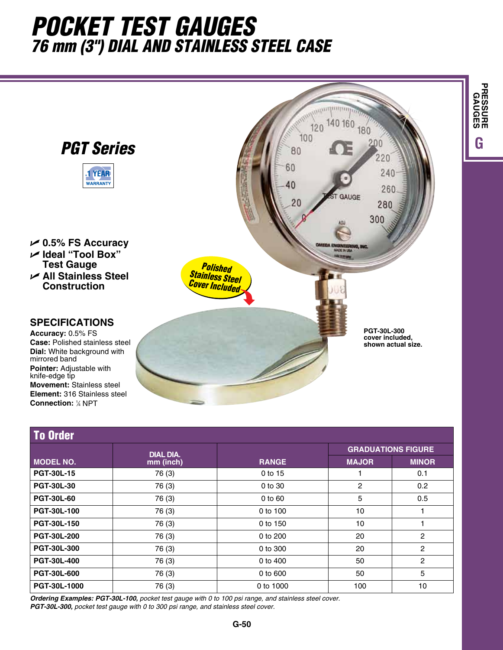## *Pocket TEST Gauges 76 mm (3") Dial and Stainless Steel Case*



| <b>To Order</b>    |                               |              |                           |                |  |  |  |  |
|--------------------|-------------------------------|--------------|---------------------------|----------------|--|--|--|--|
| <b>MODEL NO.</b>   | <b>DIAL DIA.</b><br>mm (inch) |              | <b>GRADUATIONS FIGURE</b> |                |  |  |  |  |
|                    |                               | <b>RANGE</b> | <b>MAJOR</b>              | <b>MINOR</b>   |  |  |  |  |
| <b>PGT-30L-15</b>  | 76 (3)                        | 0 to 15      |                           | 0.1            |  |  |  |  |
| <b>PGT-30L-30</b>  | 76 (3)                        | 0 to 30      | 2                         | 0.2            |  |  |  |  |
| <b>PGT-30L-60</b>  | 76 (3)                        | $0$ to $60$  | 5                         | 0.5            |  |  |  |  |
| <b>PGT-30L-100</b> | 76 (3)                        | 0 to 100     | 10                        |                |  |  |  |  |
| <b>PGT-30L-150</b> | 76 (3)                        | 0 to 150     | 10                        |                |  |  |  |  |
| <b>PGT-30L-200</b> | 76 (3)                        | 0 to 200     | 20                        | $\overline{c}$ |  |  |  |  |
| <b>PGT-30L-300</b> | 76 (3)                        | 0 to 300     | 20                        | $\overline{2}$ |  |  |  |  |
| <b>PGT-30L-400</b> | 76 (3)                        | 0 to 400     | 50                        | $\overline{2}$ |  |  |  |  |
| <b>PGT-30L-600</b> | 76 (3)                        | 0 to 600     | 50                        | 5              |  |  |  |  |
| PGT-30L-1000       | 76 (3)                        | 0 to 1000    | 100                       | 10             |  |  |  |  |

*Ordering Examples: PGT-30L-100, pocket test gauge with 0 to 100 psi range, and stainless steel cover. PGT-30L-300, pocket test gauge with 0 to 300 psi range, and stainless steel cover.*